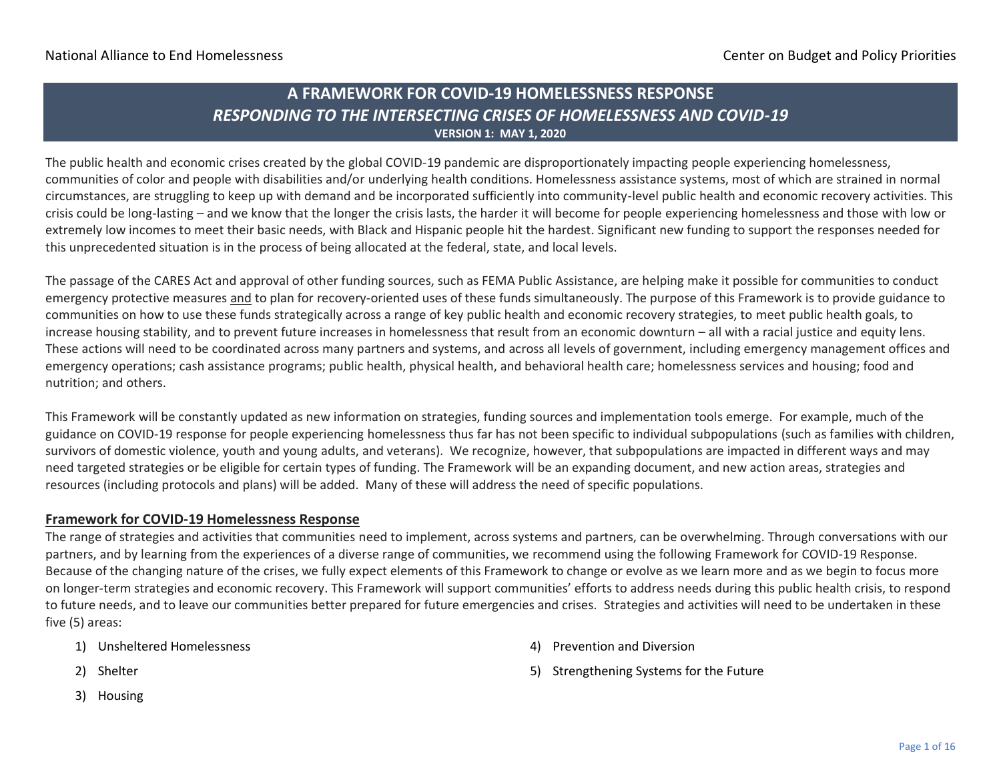### **A FRAMEWORK FOR COVID-19 HOMELESSNESS RESPONSE** *RESPONDING TO THE INTERSECTING CRISES OF HOMELESSNESS AND COVID-19* **VERSION 1: MAY 1, 2020**

The public health and economic crises created by the global COVID-19 pandemic are disproportionately impacting people experiencing homelessness, communities of color and people with disabilities and/or underlying health conditions. Homelessness assistance systems, most of which are strained in normal circumstances, are struggling to keep up with demand and be incorporated sufficiently into community-level public health and economic recovery activities. This crisis could be long-lasting – and we know that the longer the crisis lasts, the harder it will become for people experiencing homelessness and those with low or extremely low incomes to meet their basic needs, with Black and Hispanic people hit the hardest. Significant new funding to support the responses needed for this unprecedented situation is in the process of being allocated at the federal, state, and local levels.

The passage of the CARES Act and approval of other funding sources, such as FEMA Public Assistance, are helping make it possible for communities to conduct emergency protective measures and to plan for recovery-oriented uses of these funds simultaneously. The purpose of this Framework is to provide guidance to communities on how to use these funds strategically across a range of key public health and economic recovery strategies, to meet public health goals, to increase housing stability, and to prevent future increases in homelessness that result from an economic downturn – all with a racial justice and equity lens. These actions will need to be coordinated across many partners and systems, and across all levels of government, including emergency management offices and emergency operations; cash assistance programs; public health, physical health, and behavioral health care; homelessness services and housing; food and nutrition; and others.

This Framework will be constantly updated as new information on strategies, funding sources and implementation tools emerge. For example, much of the guidance on COVID-19 response for people experiencing homelessness thus far has not been specific to individual subpopulations (such as families with children, survivors of domestic violence, youth and young adults, and veterans). We recognize, however, that subpopulations are impacted in different ways and may need targeted strategies or be eligible for certain types of funding. The Framework will be an expanding document, and new action areas, strategies and resources (including protocols and plans) will be added. Many of these will address the need of specific populations.

#### **Framework for COVID-19 Homelessness Response**

The range of strategies and activities that communities need to implement, across systems and partners, can be overwhelming. Through conversations with our partners, and by learning from the experiences of a diverse range of communities, we recommend using the following Framework for COVID-19 Response. Because of the changing nature of the crises, we fully expect elements of this Framework to change or evolve as we learn more and as we begin to focus more on longer-term strategies and economic recovery. This Framework will support communities' efforts to address needs during this public health crisis, to respond to future needs, and to leave our communities better prepared for future emergencies and crises. Strategies and activities will need to be undertaken in these five (5) areas:

1) Unsheltered Homelessness

- 4) Prevention and Diversion
- 5) Strengthening Systems for the Future
- 2) Shelter
- 3) Housing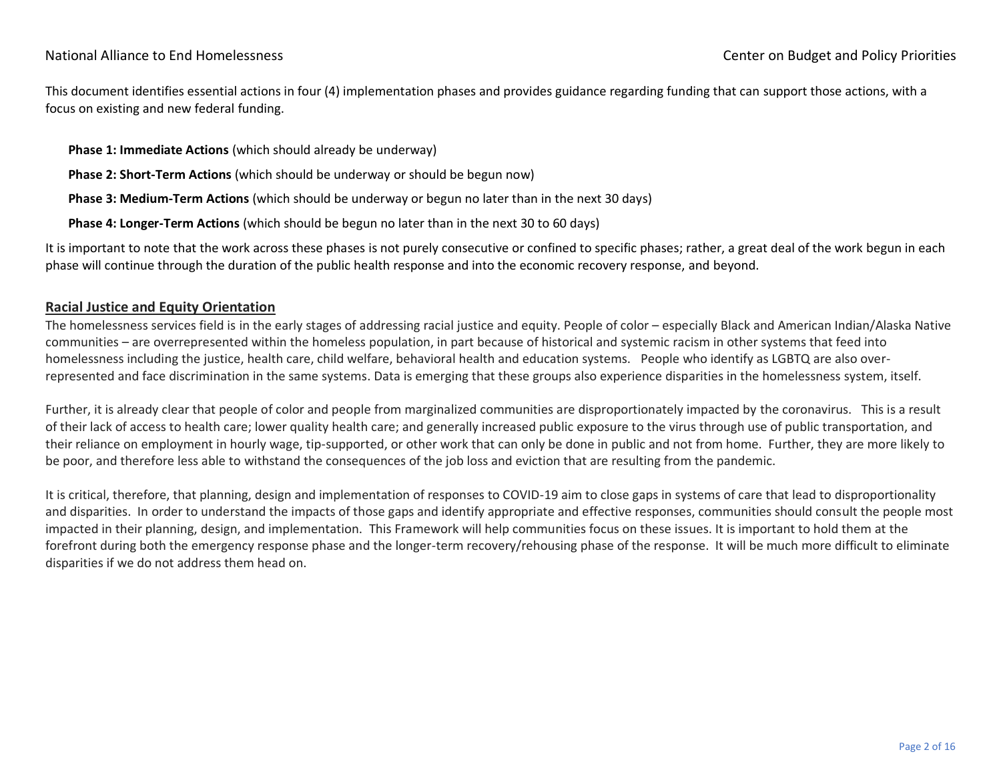#### National Alliance to End Homelessness Center on Budget and Policy Priorities

This document identifies essential actions in four (4) implementation phases and provides guidance regarding funding that can support those actions, with a focus on existing and new federal funding.

**Phase 1: Immediate Actions** (which should already be underway)

**Phase 2: Short-Term Actions** (which should be underway or should be begun now)

**Phase 3: Medium-Term Actions** (which should be underway or begun no later than in the next 30 days)

**Phase 4: Longer-Term Actions** (which should be begun no later than in the next 30 to 60 days)

It is important to note that the work across these phases is not purely consecutive or confined to specific phases; rather, a great deal of the work begun in each phase will continue through the duration of the public health response and into the economic recovery response, and beyond.

#### **Racial Justice and Equity Orientation**

The homelessness services field is in the early stages of addressing racial justice and equity. People of color – especially Black and American Indian/Alaska Native communities – are overrepresented within the homeless population, in part because of historical and systemic racism in other systems that feed into homelessness including the justice, health care, child welfare, behavioral health and education systems. People who identify as LGBTQ are also overrepresented and face discrimination in the same systems. Data is emerging that these groups also experience disparities in the homelessness system, itself.

Further, it is already clear that people of color and people from marginalized communities are disproportionately impacted by the coronavirus. This is a result of their lack of access to health care; lower quality health care; and generally increased public exposure to the virus through use of public transportation, and their reliance on employment in hourly wage, tip-supported, or other work that can only be done in public and not from home. Further, they are more likely to be poor, and therefore less able to withstand the consequences of the job loss and eviction that are resulting from the pandemic.

It is critical, therefore, that planning, design and implementation of responses to COVID-19 aim to close gaps in systems of care that lead to disproportionality and disparities. In order to understand the impacts of those gaps and identify appropriate and effective responses, communities should consult the people most impacted in their planning, design, and implementation. This Framework will help communities focus on these issues. It is important to hold them at the forefront during both the emergency response phase and the longer-term recovery/rehousing phase of the response. It will be much more difficult to eliminate disparities if we do not address them head on.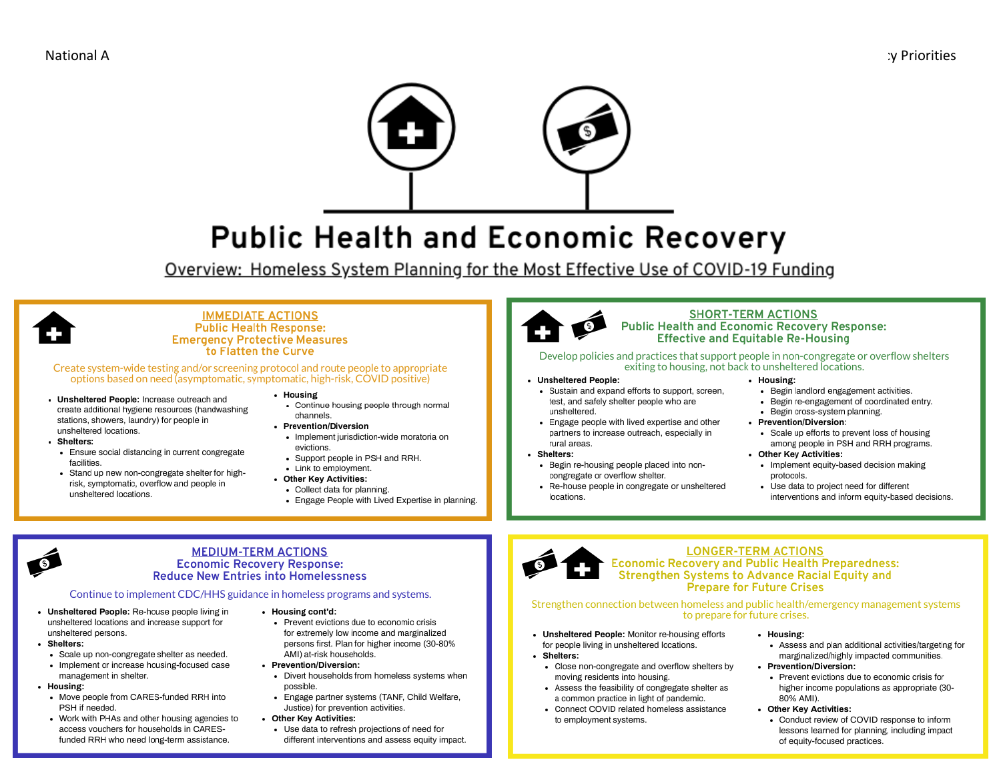

# **Public Health and Economic Recovery**

Overview: Homeless System Planning for the Most Effective Use of COVID-19 Funding



#### **IMMEDIATE ACTIONS Public Health Response: Emergency Protective Measures** to Flatten the Curve

Create system-wide testing and/or screening protocol and route people to appropriate options based on need (asymptomatic, symptomatic, high-risk, COVID positive)

- Unsheltered People: Increase outreach and create additional hygiene resources (handwashing stations, showers, laundry) for people in unsheltered locations.
- · Shelters:
	- Ensure social distancing in current congregate facilities.
- Stand up new non-congregate shelter for highrisk, symptomatic, overflow and people in unsheltered locations.
- Housing
- Continue housing people through normal channels
- Prevention/Diversion
- · Implement jurisdiction-wide moratoria on evictions.
- Support people in PSH and RRH. - Link to employment.
- Other Key Activities:
- Collect data for planning.
- Engage People with Lived Expertise in planning.



#### **SHORT-TERM ACTIONS Public Health and Economic Recovery Response: Effective and Equitable Re-Housing**

Develop policies and practices that support people in non-congregate or overflow shelters exiting to housing, not back to unsheltered locations.

- Unsheltered People:
	- · Sustain and expand efforts to support, screen, test, and safely shelter people who are unsheltered.
- Engage people with lived expertise and other partners to increase outreach, especially in rural areas
- Shelters:
	- Begin re-housing people placed into noncongregate or overflow shelter.
- Re-house people in congregate or unsheltered locations.

#### · Housing:

- Begin landlord engagement activities.
- Begin re-engagement of coordinated entry.
- · Begin cross-system planning.
- Prevention/Diversion:
	- Scale up efforts to prevent loss of housing among people in PSH and RRH programs.
- Other Key Activities:
- Implement equity-based decision making protocols.
- Use data to project need for different interventions and inform equity-based decisions.

#### **MEDIUM-TERM ACTIONS Economic Recovery Response: Reduce New Entries into Homelessness**

Continue to implement CDC/HHS guidance in homeless programs and systems.

- Unsheltered People: Re-house people living in unsheltered locations and increase support for unsheltered persons.
- · Shelters:
- · Scale up non-congregate shelter as needed.
- . Implement or increase housing-focused case management in shelter.
- Housing:
- - Move people from CARES-funded RRH into PSH if needed.
	- Work with PHAs and other housing agencies to access vouchers for households in CARESfunded RRH who need long-term assistance.
- · Housing cont'd:
	- Prevent evictions due to economic crisis for extremely low income and marginalized persons first. Plan for higher income (30-80% AMI) at-risk households.
- Prevention/Diversion:
	- Divert households from homeless systems when possible.
	- Engage partner systems (TANF, Child Welfare, Justice) for prevention activities.
- Other Key Activities:
- Use data to refresh projections of need for different interventions and assess equity impact.



#### **LONGER-TERM ACTIONS** Economic Recovery and Public Health Preparedness: Strengthen Systems to Advance Racial Equity and **Prepare for Future Crises**

#### Strengthen connection between homeless and public health/emergency management systems to prepare for future crises.

- Unsheltered People: Monitor re-housing efforts for people living in unsheltered locations.
- · Shelters:
- Close non-congregate and overflow shelters by moving residents into housing.
- Assess the feasibility of congregate shelter as a common practice in light of pandemic.
- Connect COVID related homeless assistance to employment systems.
- · Housing:
- Assess and plan additional activities/targeting for marginalized/highly impacted communities.
- Prevention/Diversion:
	- Prevent evictions due to economic crisis for higher income populations as appropriate (30-80% AMI).

#### • Other Key Activities:

• Conduct review of COVID response to inform lessons learned for planning, including impact of equity-focused practices.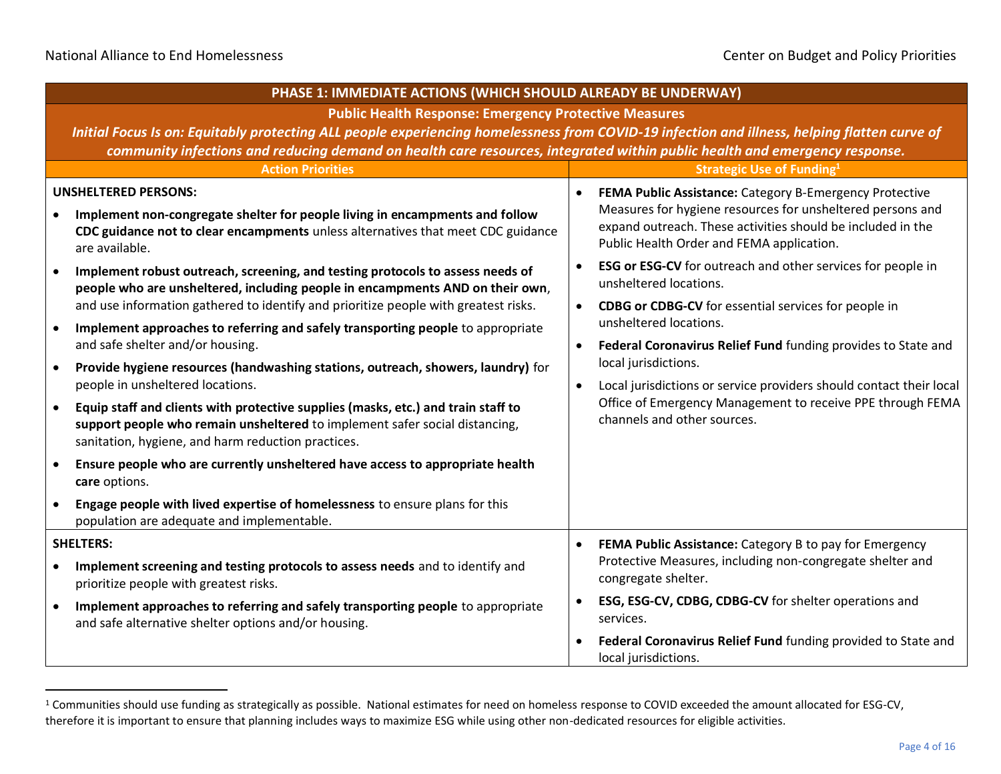| PHASE 1: IMMEDIATE ACTIONS (WHICH SHOULD ALREADY BE UNDERWAY)                                                                                                                                                                       |                                                                                                                                                                        |  |  |
|-------------------------------------------------------------------------------------------------------------------------------------------------------------------------------------------------------------------------------------|------------------------------------------------------------------------------------------------------------------------------------------------------------------------|--|--|
| <b>Public Health Response: Emergency Protective Measures</b>                                                                                                                                                                        |                                                                                                                                                                        |  |  |
| Initial Focus Is on: Equitably protecting ALL people experiencing homelessness from COVID-19 infection and illness, helping flatten curve of                                                                                        |                                                                                                                                                                        |  |  |
| community infections and reducing demand on health care resources, integrated within public health and emergency response.                                                                                                          |                                                                                                                                                                        |  |  |
| <b>Action Priorities</b>                                                                                                                                                                                                            | <b>Strategic Use of Funding1</b>                                                                                                                                       |  |  |
| <b>UNSHELTERED PERSONS:</b>                                                                                                                                                                                                         | FEMA Public Assistance: Category B-Emergency Protective                                                                                                                |  |  |
| Implement non-congregate shelter for people living in encampments and follow<br>CDC guidance not to clear encampments unless alternatives that meet CDC guidance<br>are available.                                                  | Measures for hygiene resources for unsheltered persons and<br>expand outreach. These activities should be included in the<br>Public Health Order and FEMA application. |  |  |
| Implement robust outreach, screening, and testing protocols to assess needs of<br>people who are unsheltered, including people in encampments AND on their own,                                                                     | <b>ESG or ESG-CV</b> for outreach and other services for people in<br>unsheltered locations.                                                                           |  |  |
| and use information gathered to identify and prioritize people with greatest risks.                                                                                                                                                 | <b>CDBG or CDBG-CV</b> for essential services for people in                                                                                                            |  |  |
| Implement approaches to referring and safely transporting people to appropriate<br>$\bullet$                                                                                                                                        | unsheltered locations.                                                                                                                                                 |  |  |
| and safe shelter and/or housing.                                                                                                                                                                                                    | Federal Coronavirus Relief Fund funding provides to State and<br>local jurisdictions.                                                                                  |  |  |
| Provide hygiene resources (handwashing stations, outreach, showers, laundry) for<br>$\bullet$<br>people in unsheltered locations.                                                                                                   |                                                                                                                                                                        |  |  |
|                                                                                                                                                                                                                                     | Local jurisdictions or service providers should contact their local<br>$\bullet$<br>Office of Emergency Management to receive PPE through FEMA                         |  |  |
| Equip staff and clients with protective supplies (masks, etc.) and train staff to<br>$\bullet$<br>support people who remain unsheltered to implement safer social distancing,<br>sanitation, hygiene, and harm reduction practices. | channels and other sources.                                                                                                                                            |  |  |
| Ensure people who are currently unsheltered have access to appropriate health<br>$\bullet$<br>care options.                                                                                                                         |                                                                                                                                                                        |  |  |
| Engage people with lived expertise of homelessness to ensure plans for this<br>$\bullet$<br>population are adequate and implementable.                                                                                              |                                                                                                                                                                        |  |  |
| <b>SHELTERS:</b>                                                                                                                                                                                                                    | FEMA Public Assistance: Category B to pay for Emergency                                                                                                                |  |  |
| Implement screening and testing protocols to assess needs and to identify and<br>$\bullet$<br>prioritize people with greatest risks.                                                                                                | Protective Measures, including non-congregate shelter and<br>congregate shelter.                                                                                       |  |  |
| Implement approaches to referring and safely transporting people to appropriate<br>$\bullet$<br>and safe alternative shelter options and/or housing.                                                                                | ESG, ESG-CV, CDBG, CDBG-CV for shelter operations and<br>services.                                                                                                     |  |  |
|                                                                                                                                                                                                                                     | Federal Coronavirus Relief Fund funding provided to State and<br>local jurisdictions.                                                                                  |  |  |

<sup>&</sup>lt;sup>1</sup> Communities should use funding as strategically as possible. National estimates for need on homeless response to COVID exceeded the amount allocated for ESG-CV, therefore it is important to ensure that planning includes ways to maximize ESG while using other non-dedicated resources for eligible activities.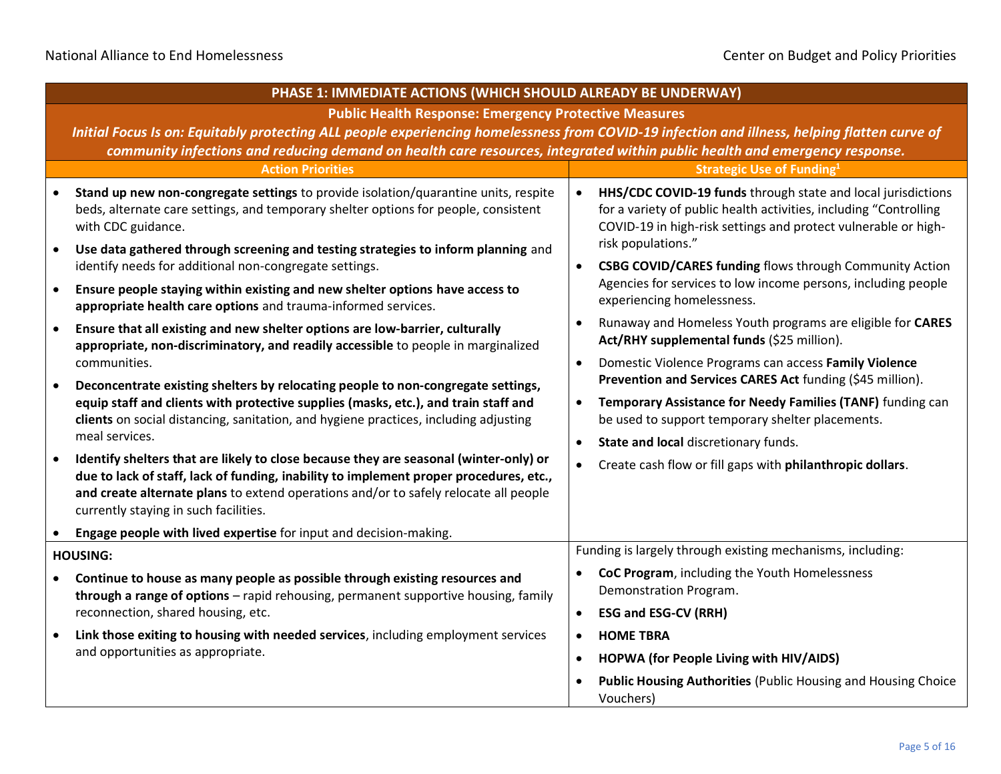|                                                                                                                                              | PHASE 1: IMMEDIATE ACTIONS (WHICH SHOULD ALREADY BE UNDERWAY)                                                                                                                                                                                                                                                    |           |                                                                                                                                                                                                                           |
|----------------------------------------------------------------------------------------------------------------------------------------------|------------------------------------------------------------------------------------------------------------------------------------------------------------------------------------------------------------------------------------------------------------------------------------------------------------------|-----------|---------------------------------------------------------------------------------------------------------------------------------------------------------------------------------------------------------------------------|
|                                                                                                                                              | <b>Public Health Response: Emergency Protective Measures</b>                                                                                                                                                                                                                                                     |           |                                                                                                                                                                                                                           |
| Initial Focus Is on: Equitably protecting ALL people experiencing homelessness from COVID-19 infection and illness, helping flatten curve of |                                                                                                                                                                                                                                                                                                                  |           |                                                                                                                                                                                                                           |
|                                                                                                                                              | community infections and reducing demand on health care resources, integrated within public health and emergency response.<br><b>Action Priorities</b>                                                                                                                                                           |           | <b>Strategic Use of Funding1</b>                                                                                                                                                                                          |
|                                                                                                                                              | Stand up new non-congregate settings to provide isolation/quarantine units, respite<br>beds, alternate care settings, and temporary shelter options for people, consistent<br>with CDC guidance.                                                                                                                 | $\bullet$ | HHS/CDC COVID-19 funds through state and local jurisdictions<br>for a variety of public health activities, including "Controlling<br>COVID-19 in high-risk settings and protect vulnerable or high-<br>risk populations." |
|                                                                                                                                              | Use data gathered through screening and testing strategies to inform planning and<br>identify needs for additional non-congregate settings.                                                                                                                                                                      | $\bullet$ | CSBG COVID/CARES funding flows through Community Action                                                                                                                                                                   |
| $\bullet$                                                                                                                                    | Ensure people staying within existing and new shelter options have access to<br>appropriate health care options and trauma-informed services.                                                                                                                                                                    |           | Agencies for services to low income persons, including people<br>experiencing homelessness.                                                                                                                               |
| $\bullet$                                                                                                                                    | Ensure that all existing and new shelter options are low-barrier, culturally<br>appropriate, non-discriminatory, and readily accessible to people in marginalized                                                                                                                                                |           | Runaway and Homeless Youth programs are eligible for CARES<br>Act/RHY supplemental funds (\$25 million).                                                                                                                  |
|                                                                                                                                              | communities.                                                                                                                                                                                                                                                                                                     | $\bullet$ | Domestic Violence Programs can access Family Violence<br>Prevention and Services CARES Act funding (\$45 million).                                                                                                        |
| $\bullet$                                                                                                                                    | Deconcentrate existing shelters by relocating people to non-congregate settings,<br>equip staff and clients with protective supplies (masks, etc.), and train staff and<br>clients on social distancing, sanitation, and hygiene practices, including adjusting<br>meal services.                                | $\bullet$ | Temporary Assistance for Needy Families (TANF) funding can<br>be used to support temporary shelter placements.                                                                                                            |
|                                                                                                                                              |                                                                                                                                                                                                                                                                                                                  | $\bullet$ | State and local discretionary funds.                                                                                                                                                                                      |
| $\bullet$                                                                                                                                    | Identify shelters that are likely to close because they are seasonal (winter-only) or<br>due to lack of staff, lack of funding, inability to implement proper procedures, etc.,<br>and create alternate plans to extend operations and/or to safely relocate all people<br>currently staying in such facilities. |           | Create cash flow or fill gaps with philanthropic dollars.                                                                                                                                                                 |
|                                                                                                                                              | Engage people with lived expertise for input and decision-making.                                                                                                                                                                                                                                                |           |                                                                                                                                                                                                                           |
|                                                                                                                                              | <b>HOUSING:</b>                                                                                                                                                                                                                                                                                                  |           | Funding is largely through existing mechanisms, including:                                                                                                                                                                |
| $\bullet$                                                                                                                                    | Continue to house as many people as possible through existing resources and<br>through a range of options - rapid rehousing, permanent supportive housing, family                                                                                                                                                |           | CoC Program, including the Youth Homelessness<br>Demonstration Program.                                                                                                                                                   |
|                                                                                                                                              | reconnection, shared housing, etc.                                                                                                                                                                                                                                                                               | $\bullet$ | <b>ESG and ESG-CV (RRH)</b>                                                                                                                                                                                               |
| $\bullet$                                                                                                                                    | Link those exiting to housing with needed services, including employment services<br>and opportunities as appropriate.                                                                                                                                                                                           | $\bullet$ | <b>HOME TBRA</b>                                                                                                                                                                                                          |
|                                                                                                                                              |                                                                                                                                                                                                                                                                                                                  | $\bullet$ | HOPWA (for People Living with HIV/AIDS)                                                                                                                                                                                   |
|                                                                                                                                              |                                                                                                                                                                                                                                                                                                                  |           | <b>Public Housing Authorities (Public Housing and Housing Choice</b><br>Vouchers)                                                                                                                                         |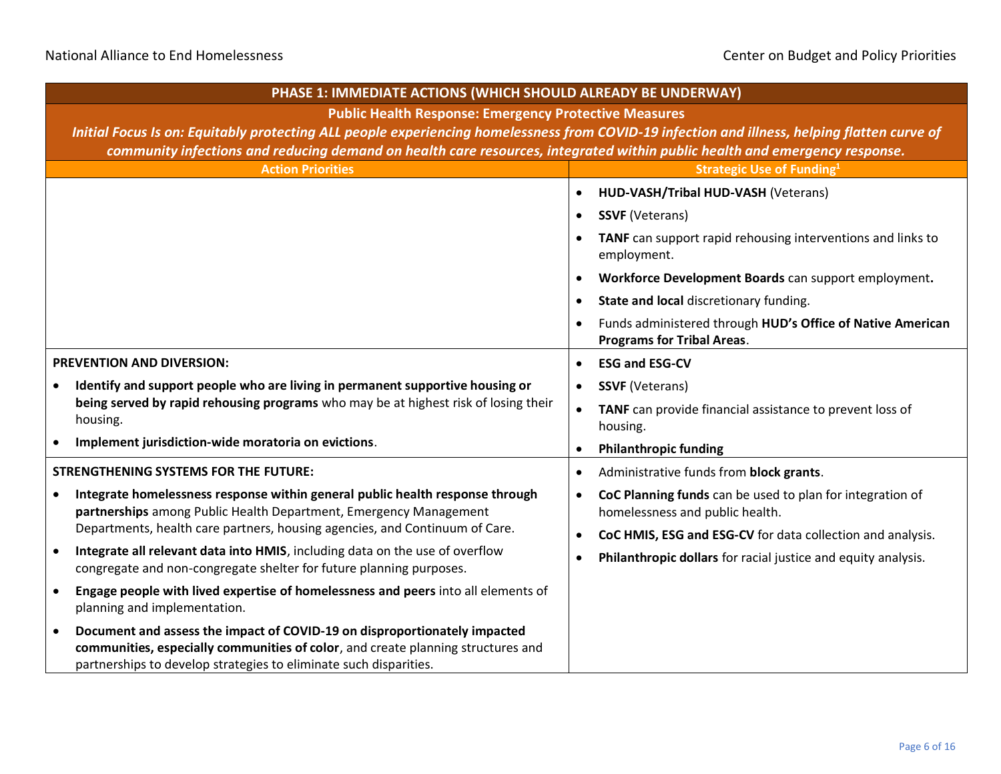# National Alliance to End Homelessness **CENTER STATES** Center on Budget and Policy Priorities

| PHASE 1: IMMEDIATE ACTIONS (WHICH SHOULD ALREADY BE UNDERWAY)                                                                                                                                                                      |                                                                                                           |  |  |
|------------------------------------------------------------------------------------------------------------------------------------------------------------------------------------------------------------------------------------|-----------------------------------------------------------------------------------------------------------|--|--|
| <b>Public Health Response: Emergency Protective Measures</b>                                                                                                                                                                       |                                                                                                           |  |  |
| Initial Focus Is on: Equitably protecting ALL people experiencing homelessness from COVID-19 infection and illness, helping flatten curve of                                                                                       |                                                                                                           |  |  |
| community infections and reducing demand on health care resources, integrated within public health and emergency response.                                                                                                         |                                                                                                           |  |  |
| <b>Action Priorities</b>                                                                                                                                                                                                           | <b>Strategic Use of Funding1</b>                                                                          |  |  |
|                                                                                                                                                                                                                                    | HUD-VASH/Tribal HUD-VASH (Veterans)<br>$\bullet$                                                          |  |  |
|                                                                                                                                                                                                                                    | <b>SSVF (Veterans)</b><br>$\bullet$                                                                       |  |  |
|                                                                                                                                                                                                                                    | TANF can support rapid rehousing interventions and links to<br>employment.                                |  |  |
|                                                                                                                                                                                                                                    | Workforce Development Boards can support employment.                                                      |  |  |
|                                                                                                                                                                                                                                    | State and local discretionary funding.<br>$\bullet$                                                       |  |  |
|                                                                                                                                                                                                                                    | Funds administered through HUD's Office of Native American<br><b>Programs for Tribal Areas.</b>           |  |  |
| PREVENTION AND DIVERSION:                                                                                                                                                                                                          | <b>ESG and ESG-CV</b><br>$\bullet$                                                                        |  |  |
| Identify and support people who are living in permanent supportive housing or<br>being served by rapid rehousing programs who may be at highest risk of losing their<br>housing.                                                   | <b>SSVF</b> (Veterans)<br>$\bullet$                                                                       |  |  |
|                                                                                                                                                                                                                                    | TANF can provide financial assistance to prevent loss of<br>$\bullet$<br>housing.                         |  |  |
| Implement jurisdiction-wide moratoria on evictions.                                                                                                                                                                                | <b>Philanthropic funding</b>                                                                              |  |  |
| <b>STRENGTHENING SYSTEMS FOR THE FUTURE:</b>                                                                                                                                                                                       | Administrative funds from block grants.<br>$\bullet$                                                      |  |  |
| Integrate homelessness response within general public health response through<br>partnerships among Public Health Department, Emergency Management                                                                                 | CoC Planning funds can be used to plan for integration of<br>$\bullet$<br>homelessness and public health. |  |  |
| Departments, health care partners, housing agencies, and Continuum of Care.                                                                                                                                                        | CoC HMIS, ESG and ESG-CV for data collection and analysis.                                                |  |  |
| Integrate all relevant data into HMIS, including data on the use of overflow<br>$\bullet$<br>congregate and non-congregate shelter for future planning purposes.                                                                   | Philanthropic dollars for racial justice and equity analysis.                                             |  |  |
| Engage people with lived expertise of homelessness and peers into all elements of<br>$\bullet$<br>planning and implementation.                                                                                                     |                                                                                                           |  |  |
| Document and assess the impact of COVID-19 on disproportionately impacted<br>communities, especially communities of color, and create planning structures and<br>partnerships to develop strategies to eliminate such disparities. |                                                                                                           |  |  |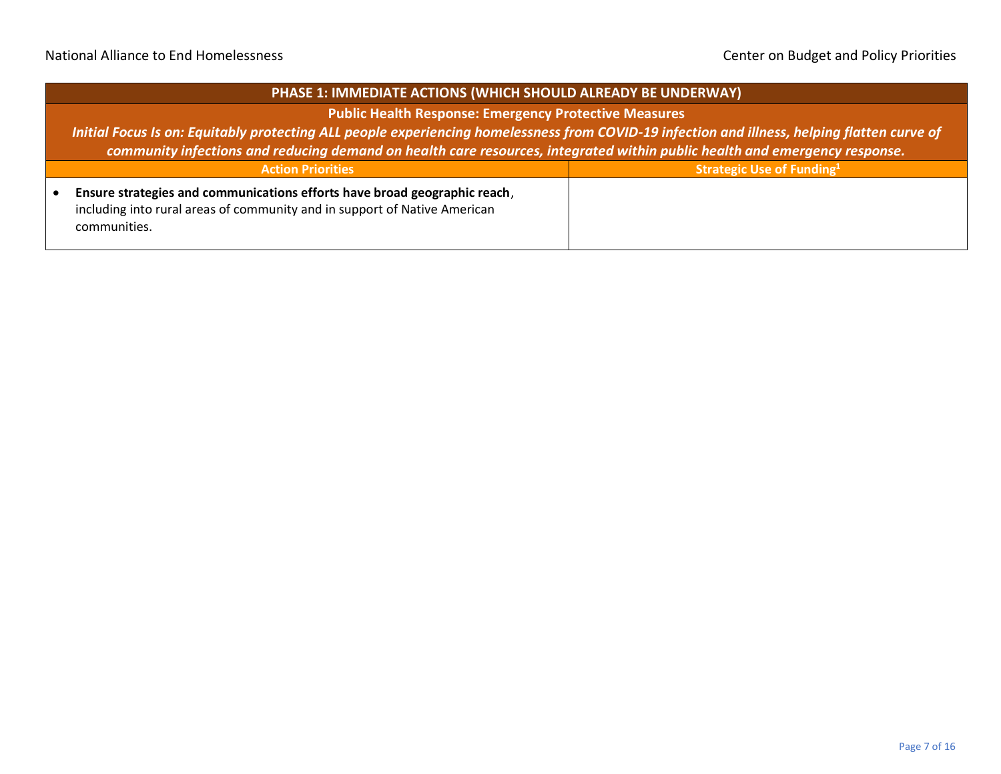## **PHASE 1: IMMEDIATE ACTIONS (WHICH SHOULD ALREADY BE UNDERWAY)**

#### **Public Health Response: Emergency Protective Measures**

*Initial Focus Is on: Equitably protecting ALL people experiencing homelessness from COVID-19 infection and illness, helping flatten curve of community infections and reducing demand on health care resources, integrated within public health and emergency response.*

| <b>Action Priorities</b>                                                                                                                               | <b>Strategic Use of Funding</b> <sup>1</sup> |
|--------------------------------------------------------------------------------------------------------------------------------------------------------|----------------------------------------------|
| Ensure strategies and communications efforts have broad geographic reach,<br>including into rural areas of community and in support of Native American |                                              |
| communities.                                                                                                                                           |                                              |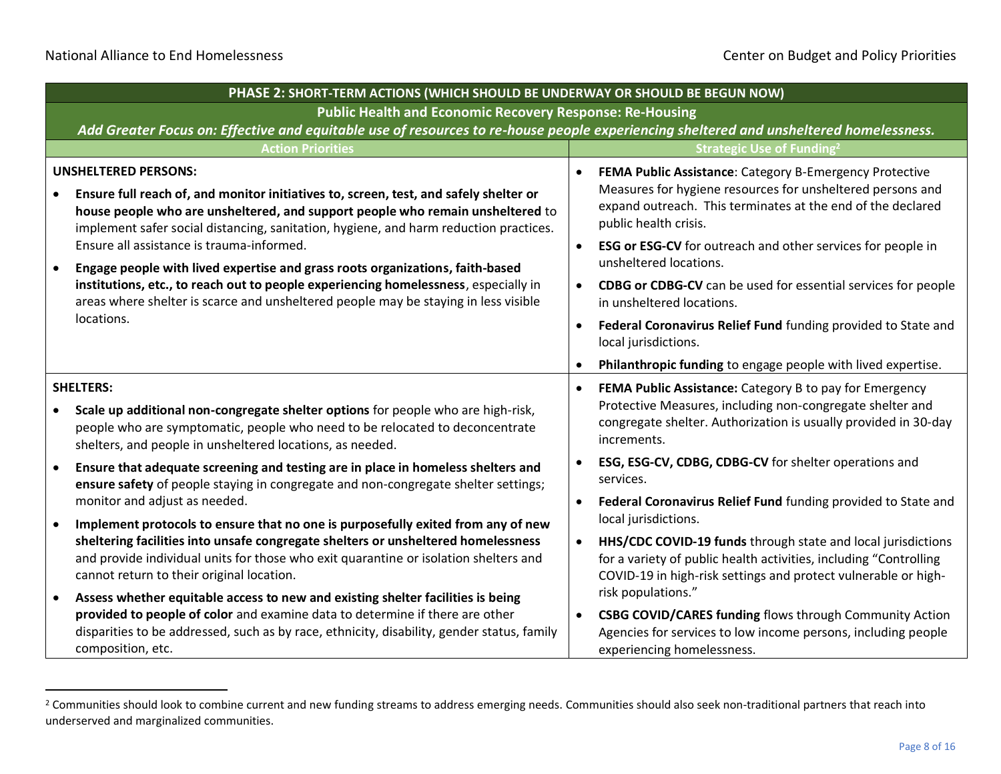|           | PHASE 2: SHORT-TERM ACTIONS (WHICH SHOULD BE UNDERWAY OR SHOULD BE BEGUN NOW)                                                                                                                                                                                                                   |           |                                                                                                                                                                                                               |
|-----------|-------------------------------------------------------------------------------------------------------------------------------------------------------------------------------------------------------------------------------------------------------------------------------------------------|-----------|---------------------------------------------------------------------------------------------------------------------------------------------------------------------------------------------------------------|
|           | <b>Public Health and Economic Recovery Response: Re-Housing</b>                                                                                                                                                                                                                                 |           |                                                                                                                                                                                                               |
|           | Add Greater Focus on: Effective and equitable use of resources to re-house people experiencing sheltered and unsheltered homelessness.                                                                                                                                                          |           |                                                                                                                                                                                                               |
|           | <b>Action Priorities</b>                                                                                                                                                                                                                                                                        |           | <b>Strategic Use of Funding<sup>2</sup></b>                                                                                                                                                                   |
|           | <b>UNSHELTERED PERSONS:</b><br>Ensure full reach of, and monitor initiatives to, screen, test, and safely shelter or<br>house people who are unsheltered, and support people who remain unsheltered to<br>implement safer social distancing, sanitation, hygiene, and harm reduction practices. | $\bullet$ | FEMA Public Assistance: Category B-Emergency Protective<br>Measures for hygiene resources for unsheltered persons and<br>expand outreach. This terminates at the end of the declared<br>public health crisis. |
| $\bullet$ | Ensure all assistance is trauma-informed.<br>Engage people with lived expertise and grass roots organizations, faith-based                                                                                                                                                                      | $\bullet$ | ESG or ESG-CV for outreach and other services for people in<br>unsheltered locations.                                                                                                                         |
|           | institutions, etc., to reach out to people experiencing homelessness, especially in<br>areas where shelter is scarce and unsheltered people may be staying in less visible<br>locations.                                                                                                        | $\bullet$ | CDBG or CDBG-CV can be used for essential services for people<br>in unsheltered locations.                                                                                                                    |
|           |                                                                                                                                                                                                                                                                                                 | $\bullet$ | Federal Coronavirus Relief Fund funding provided to State and<br>local jurisdictions.                                                                                                                         |
|           |                                                                                                                                                                                                                                                                                                 | $\bullet$ | Philanthropic funding to engage people with lived expertise.                                                                                                                                                  |
|           | <b>SHELTERS:</b><br>Scale up additional non-congregate shelter options for people who are high-risk,<br>people who are symptomatic, people who need to be relocated to deconcentrate<br>shelters, and people in unsheltered locations, as needed.                                               | $\bullet$ | FEMA Public Assistance: Category B to pay for Emergency<br>Protective Measures, including non-congregate shelter and<br>congregate shelter. Authorization is usually provided in 30-day<br>increments.        |
| $\bullet$ | Ensure that adequate screening and testing are in place in homeless shelters and<br>ensure safety of people staying in congregate and non-congregate shelter settings;                                                                                                                          | $\bullet$ | ESG, ESG-CV, CDBG, CDBG-CV for shelter operations and<br>services.                                                                                                                                            |
| $\bullet$ | monitor and adjust as needed.<br>Implement protocols to ensure that no one is purposefully exited from any of new                                                                                                                                                                               | $\bullet$ | Federal Coronavirus Relief Fund funding provided to State and<br>local jurisdictions.                                                                                                                         |
|           | sheltering facilities into unsafe congregate shelters or unsheltered homelessness<br>and provide individual units for those who exit quarantine or isolation shelters and<br>cannot return to their original location.                                                                          | $\bullet$ | HHS/CDC COVID-19 funds through state and local jurisdictions<br>for a variety of public health activities, including "Controlling<br>COVID-19 in high-risk settings and protect vulnerable or high-           |
| $\bullet$ | Assess whether equitable access to new and existing shelter facilities is being<br>provided to people of color and examine data to determine if there are other<br>disparities to be addressed, such as by race, ethnicity, disability, gender status, family<br>composition, etc.              | $\bullet$ | risk populations."<br><b>CSBG COVID/CARES funding flows through Community Action</b><br>Agencies for services to low income persons, including people<br>experiencing homelessness.                           |

<sup>&</sup>lt;sup>2</sup> Communities should look to combine current and new funding streams to address emerging needs. Communities should also seek non-traditional partners that reach into underserved and marginalized communities.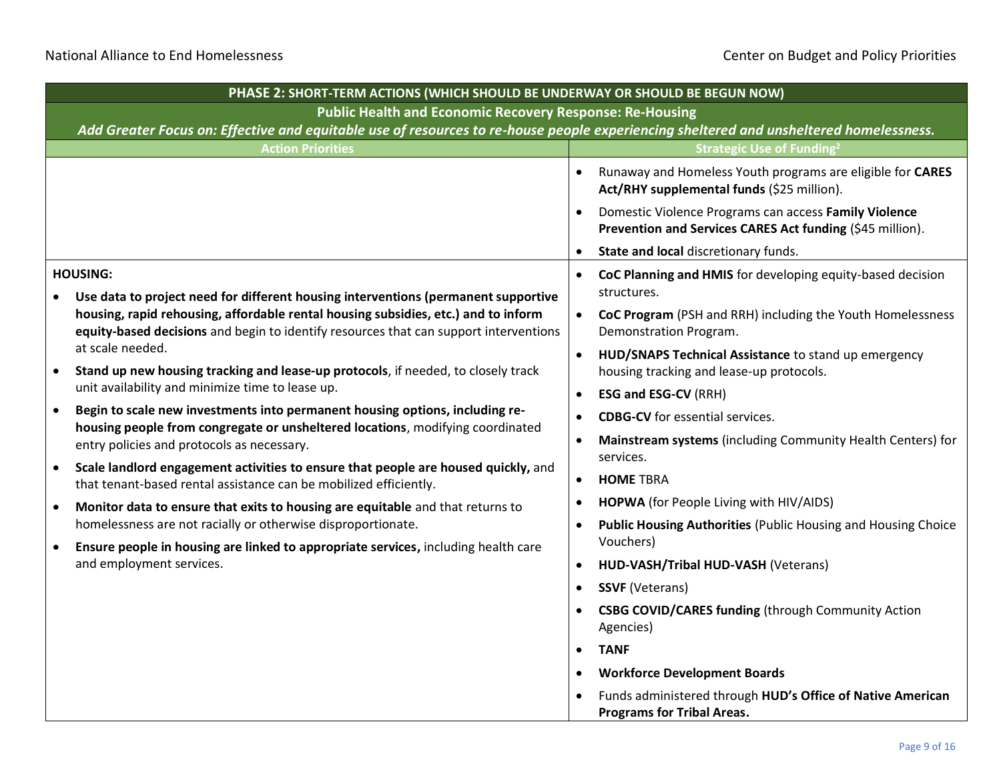|                                                                 | PHASE 2: SHORT-TERM ACTIONS (WHICH SHOULD BE UNDERWAY OR SHOULD BE BEGUN NOW)                                                                                                                                                                                                                                                                                                                                                                                                                                                                            |           |                                                                                                                    |  |
|-----------------------------------------------------------------|----------------------------------------------------------------------------------------------------------------------------------------------------------------------------------------------------------------------------------------------------------------------------------------------------------------------------------------------------------------------------------------------------------------------------------------------------------------------------------------------------------------------------------------------------------|-----------|--------------------------------------------------------------------------------------------------------------------|--|
| <b>Public Health and Economic Recovery Response: Re-Housing</b> |                                                                                                                                                                                                                                                                                                                                                                                                                                                                                                                                                          |           |                                                                                                                    |  |
|                                                                 | Add Greater Focus on: Effective and equitable use of resources to re-house people experiencing sheltered and unsheltered homelessness.                                                                                                                                                                                                                                                                                                                                                                                                                   |           |                                                                                                                    |  |
|                                                                 | <b>Action Priorities</b>                                                                                                                                                                                                                                                                                                                                                                                                                                                                                                                                 |           | <b>Strategic Use of Funding2</b>                                                                                   |  |
|                                                                 |                                                                                                                                                                                                                                                                                                                                                                                                                                                                                                                                                          |           | Runaway and Homeless Youth programs are eligible for CARES<br>Act/RHY supplemental funds (\$25 million).           |  |
|                                                                 |                                                                                                                                                                                                                                                                                                                                                                                                                                                                                                                                                          |           | Domestic Violence Programs can access Family Violence<br>Prevention and Services CARES Act funding (\$45 million). |  |
|                                                                 |                                                                                                                                                                                                                                                                                                                                                                                                                                                                                                                                                          |           | State and local discretionary funds.                                                                               |  |
|                                                                 | <b>HOUSING:</b><br>Use data to project need for different housing interventions (permanent supportive                                                                                                                                                                                                                                                                                                                                                                                                                                                    | $\bullet$ | CoC Planning and HMIS for developing equity-based decision<br>structures.                                          |  |
|                                                                 | housing, rapid rehousing, affordable rental housing subsidies, etc.) and to inform<br>equity-based decisions and begin to identify resources that can support interventions<br>at scale needed.<br>Stand up new housing tracking and lease-up protocols, if needed, to closely track<br>unit availability and minimize time to lease up.<br>Begin to scale new investments into permanent housing options, including re-<br>housing people from congregate or unsheltered locations, modifying coordinated<br>entry policies and protocols as necessary. | $\bullet$ | CoC Program (PSH and RRH) including the Youth Homelessness<br>Demonstration Program.                               |  |
|                                                                 |                                                                                                                                                                                                                                                                                                                                                                                                                                                                                                                                                          | $\bullet$ | HUD/SNAPS Technical Assistance to stand up emergency<br>housing tracking and lease-up protocols.                   |  |
|                                                                 |                                                                                                                                                                                                                                                                                                                                                                                                                                                                                                                                                          | $\bullet$ | <b>ESG and ESG-CV (RRH)</b>                                                                                        |  |
| $\bullet$                                                       |                                                                                                                                                                                                                                                                                                                                                                                                                                                                                                                                                          |           | <b>CDBG-CV</b> for essential services.                                                                             |  |
|                                                                 |                                                                                                                                                                                                                                                                                                                                                                                                                                                                                                                                                          |           | Mainstream systems (including Community Health Centers) for<br>services.                                           |  |
| $\bullet$                                                       | Scale landlord engagement activities to ensure that people are housed quickly, and<br>that tenant-based rental assistance can be mobilized efficiently.                                                                                                                                                                                                                                                                                                                                                                                                  | $\bullet$ | <b>HOME TBRA</b>                                                                                                   |  |
| $\bullet$                                                       | Monitor data to ensure that exits to housing are equitable and that returns to                                                                                                                                                                                                                                                                                                                                                                                                                                                                           |           | HOPWA (for People Living with HIV/AIDS)                                                                            |  |
| $\bullet$                                                       | homelessness are not racially or otherwise disproportionate.<br>Ensure people in housing are linked to appropriate services, including health care                                                                                                                                                                                                                                                                                                                                                                                                       |           | <b>Public Housing Authorities (Public Housing and Housing Choice</b><br>Vouchers)                                  |  |
|                                                                 | and employment services.                                                                                                                                                                                                                                                                                                                                                                                                                                                                                                                                 | $\bullet$ | HUD-VASH/Tribal HUD-VASH (Veterans)                                                                                |  |
|                                                                 |                                                                                                                                                                                                                                                                                                                                                                                                                                                                                                                                                          | $\bullet$ | <b>SSVF</b> (Veterans)                                                                                             |  |
|                                                                 |                                                                                                                                                                                                                                                                                                                                                                                                                                                                                                                                                          |           | <b>CSBG COVID/CARES funding (through Community Action</b><br>Agencies)                                             |  |
|                                                                 |                                                                                                                                                                                                                                                                                                                                                                                                                                                                                                                                                          | $\bullet$ | <b>TANF</b>                                                                                                        |  |
|                                                                 |                                                                                                                                                                                                                                                                                                                                                                                                                                                                                                                                                          |           | <b>Workforce Development Boards</b>                                                                                |  |
|                                                                 |                                                                                                                                                                                                                                                                                                                                                                                                                                                                                                                                                          |           | Funds administered through HUD's Office of Native American<br><b>Programs for Tribal Areas.</b>                    |  |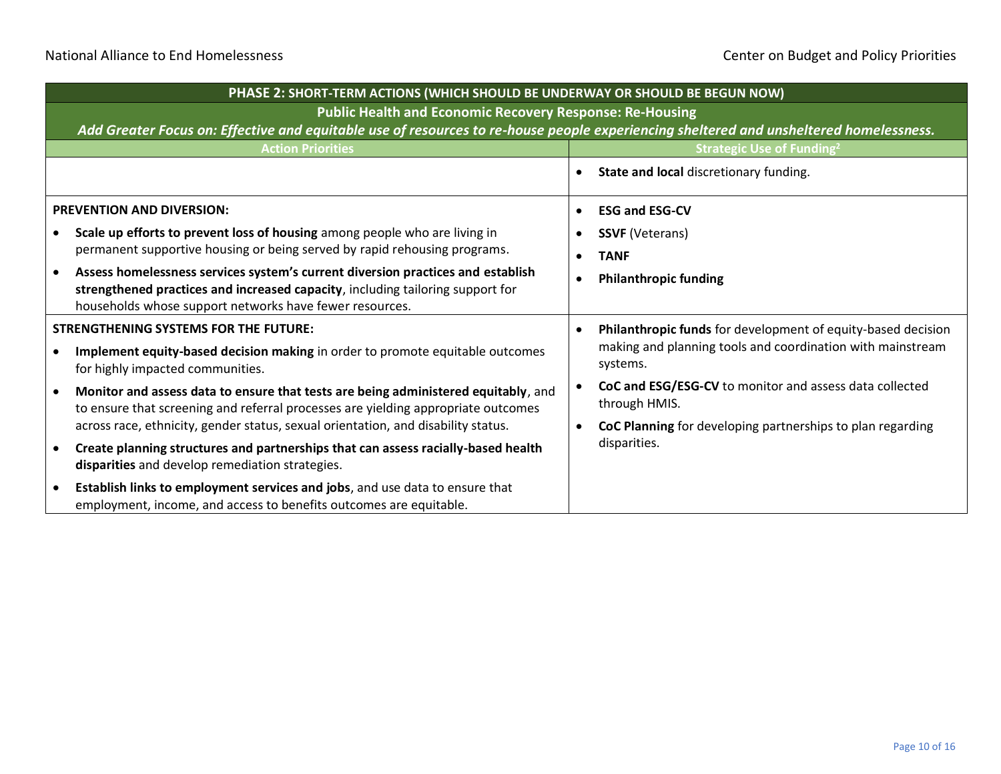|                                              | PHASE 2: SHORT-TERM ACTIONS (WHICH SHOULD BE UNDERWAY OR SHOULD BE BEGUN NOW)                                                                                                                                                |  |                                                                          |  |
|----------------------------------------------|------------------------------------------------------------------------------------------------------------------------------------------------------------------------------------------------------------------------------|--|--------------------------------------------------------------------------|--|
|                                              | <b>Public Health and Economic Recovery Response: Re-Housing</b><br>Add Greater Focus on: Effective and equitable use of resources to re-house people experiencing sheltered and unsheltered homelessness.                    |  |                                                                          |  |
|                                              | <b>Action Priorities</b>                                                                                                                                                                                                     |  | <b>Strategic Use of Funding<sup>2</sup></b>                              |  |
|                                              |                                                                                                                                                                                                                              |  | State and local discretionary funding.                                   |  |
|                                              | <b>PREVENTION AND DIVERSION:</b>                                                                                                                                                                                             |  | <b>ESG and ESG-CV</b>                                                    |  |
|                                              | Scale up efforts to prevent loss of housing among people who are living in<br>permanent supportive housing or being served by rapid rehousing programs.                                                                      |  | <b>SSVF</b> (Veterans)                                                   |  |
|                                              |                                                                                                                                                                                                                              |  | <b>TANF</b>                                                              |  |
|                                              | Assess homelessness services system's current diversion practices and establish<br>strengthened practices and increased capacity, including tailoring support for<br>households whose support networks have fewer resources. |  | <b>Philanthropic funding</b>                                             |  |
| <b>STRENGTHENING SYSTEMS FOR THE FUTURE:</b> |                                                                                                                                                                                                                              |  | Philanthropic funds for development of equity-based decision             |  |
|                                              | Implement equity-based decision making in order to promote equitable outcomes<br>for highly impacted communities.                                                                                                            |  | making and planning tools and coordination with mainstream<br>systems.   |  |
|                                              | Monitor and assess data to ensure that tests are being administered equitably, and<br>to ensure that screening and referral processes are yielding appropriate outcomes                                                      |  | CoC and ESG/ESG-CV to monitor and assess data collected<br>through HMIS. |  |
|                                              | across race, ethnicity, gender status, sexual orientation, and disability status.                                                                                                                                            |  | CoC Planning for developing partnerships to plan regarding               |  |
|                                              | Create planning structures and partnerships that can assess racially-based health<br>disparities and develop remediation strategies.                                                                                         |  | disparities.                                                             |  |
|                                              | Establish links to employment services and jobs, and use data to ensure that<br>employment, income, and access to benefits outcomes are equitable.                                                                           |  |                                                                          |  |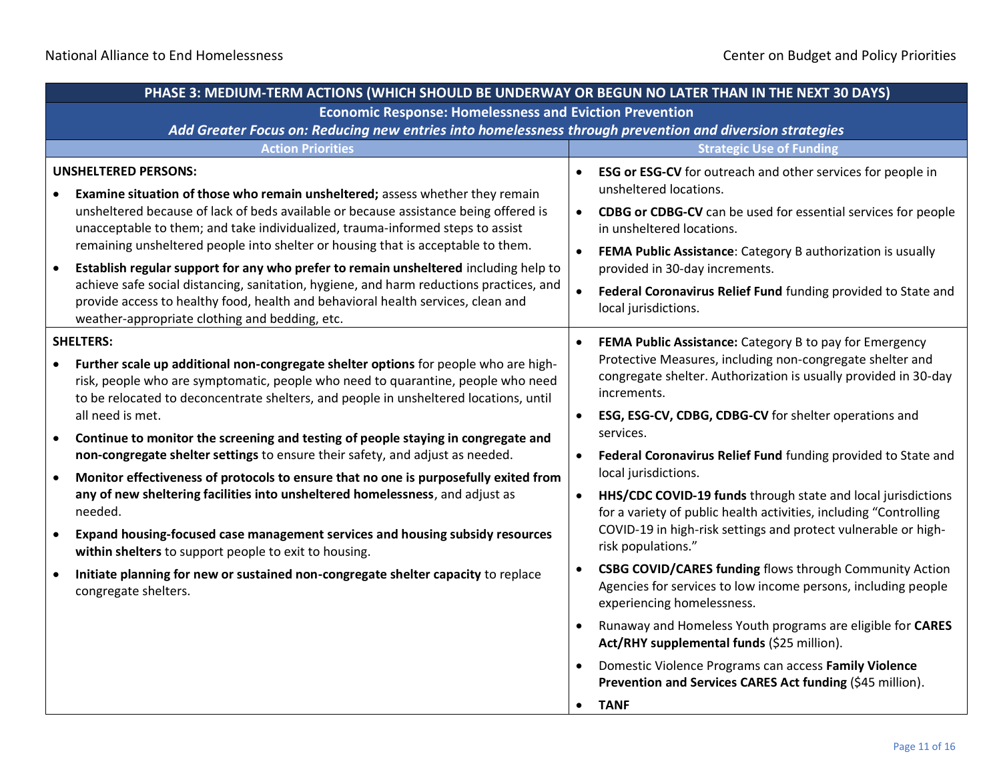| PHASE 3: MEDIUM-TERM ACTIONS (WHICH SHOULD BE UNDERWAY OR BEGUN NO LATER THAN IN THE NEXT 30 DAYS)                                                                                                                                                                                                                                                                                                                                                                                                                                                                                                                                                                                                                                                                                                                                                                                                                                                                                                                              |                                                                                                                                                                                                                                                                                                                                                                                                                                                                                                                                                                                                                                                                                                                                                                                                                                                                                                                                                                                                             |  |  |
|---------------------------------------------------------------------------------------------------------------------------------------------------------------------------------------------------------------------------------------------------------------------------------------------------------------------------------------------------------------------------------------------------------------------------------------------------------------------------------------------------------------------------------------------------------------------------------------------------------------------------------------------------------------------------------------------------------------------------------------------------------------------------------------------------------------------------------------------------------------------------------------------------------------------------------------------------------------------------------------------------------------------------------|-------------------------------------------------------------------------------------------------------------------------------------------------------------------------------------------------------------------------------------------------------------------------------------------------------------------------------------------------------------------------------------------------------------------------------------------------------------------------------------------------------------------------------------------------------------------------------------------------------------------------------------------------------------------------------------------------------------------------------------------------------------------------------------------------------------------------------------------------------------------------------------------------------------------------------------------------------------------------------------------------------------|--|--|
| <b>Economic Response: Homelessness and Eviction Prevention</b>                                                                                                                                                                                                                                                                                                                                                                                                                                                                                                                                                                                                                                                                                                                                                                                                                                                                                                                                                                  |                                                                                                                                                                                                                                                                                                                                                                                                                                                                                                                                                                                                                                                                                                                                                                                                                                                                                                                                                                                                             |  |  |
| Add Greater Focus on: Reducing new entries into homelessness through prevention and diversion strategies                                                                                                                                                                                                                                                                                                                                                                                                                                                                                                                                                                                                                                                                                                                                                                                                                                                                                                                        |                                                                                                                                                                                                                                                                                                                                                                                                                                                                                                                                                                                                                                                                                                                                                                                                                                                                                                                                                                                                             |  |  |
| <b>Action Priorities</b>                                                                                                                                                                                                                                                                                                                                                                                                                                                                                                                                                                                                                                                                                                                                                                                                                                                                                                                                                                                                        | <b>Strategic Use of Funding</b>                                                                                                                                                                                                                                                                                                                                                                                                                                                                                                                                                                                                                                                                                                                                                                                                                                                                                                                                                                             |  |  |
| <b>UNSHELTERED PERSONS:</b><br>Examine situation of those who remain unsheltered; assess whether they remain<br>unsheltered because of lack of beds available or because assistance being offered is<br>unacceptable to them; and take individualized, trauma-informed steps to assist<br>remaining unsheltered people into shelter or housing that is acceptable to them.<br>Establish regular support for any who prefer to remain unsheltered including help to<br>$\bullet$<br>achieve safe social distancing, sanitation, hygiene, and harm reductions practices, and<br>provide access to healthy food, health and behavioral health services, clean and                                                                                                                                                                                                                                                                                                                                                                  | <b>ESG or ESG-CV</b> for outreach and other services for people in<br>unsheltered locations.<br><b>CDBG or CDBG-CV</b> can be used for essential services for people<br>in unsheltered locations.<br>FEMA Public Assistance: Category B authorization is usually<br>provided in 30-day increments.<br>$\bullet$<br>Federal Coronavirus Relief Fund funding provided to State and<br>local jurisdictions.                                                                                                                                                                                                                                                                                                                                                                                                                                                                                                                                                                                                    |  |  |
| weather-appropriate clothing and bedding, etc.<br><b>SHELTERS:</b><br>Further scale up additional non-congregate shelter options for people who are high-<br>risk, people who are symptomatic, people who need to quarantine, people who need<br>to be relocated to deconcentrate shelters, and people in unsheltered locations, until<br>all need is met.<br>Continue to monitor the screening and testing of people staying in congregate and<br>$\bullet$<br>non-congregate shelter settings to ensure their safety, and adjust as needed.<br>Monitor effectiveness of protocols to ensure that no one is purposefully exited from<br>$\bullet$<br>any of new sheltering facilities into unsheltered homelessness, and adjust as<br>needed.<br>Expand housing-focused case management services and housing subsidy resources<br>$\bullet$<br>within shelters to support people to exit to housing.<br>Initiate planning for new or sustained non-congregate shelter capacity to replace<br>$\bullet$<br>congregate shelters. | FEMA Public Assistance: Category B to pay for Emergency<br>Protective Measures, including non-congregate shelter and<br>congregate shelter. Authorization is usually provided in 30-day<br>increments.<br>ESG, ESG-CV, CDBG, CDBG-CV for shelter operations and<br>$\bullet$<br>services.<br>Federal Coronavirus Relief Fund funding provided to State and<br>local jurisdictions.<br>HHS/CDC COVID-19 funds through state and local jurisdictions<br>for a variety of public health activities, including "Controlling<br>COVID-19 in high-risk settings and protect vulnerable or high-<br>risk populations."<br>CSBG COVID/CARES funding flows through Community Action<br>Agencies for services to low income persons, including people<br>experiencing homelessness.<br>Runaway and Homeless Youth programs are eligible for CARES<br>Act/RHY supplemental funds (\$25 million).<br>Domestic Violence Programs can access Family Violence<br>Prevention and Services CARES Act funding (\$45 million). |  |  |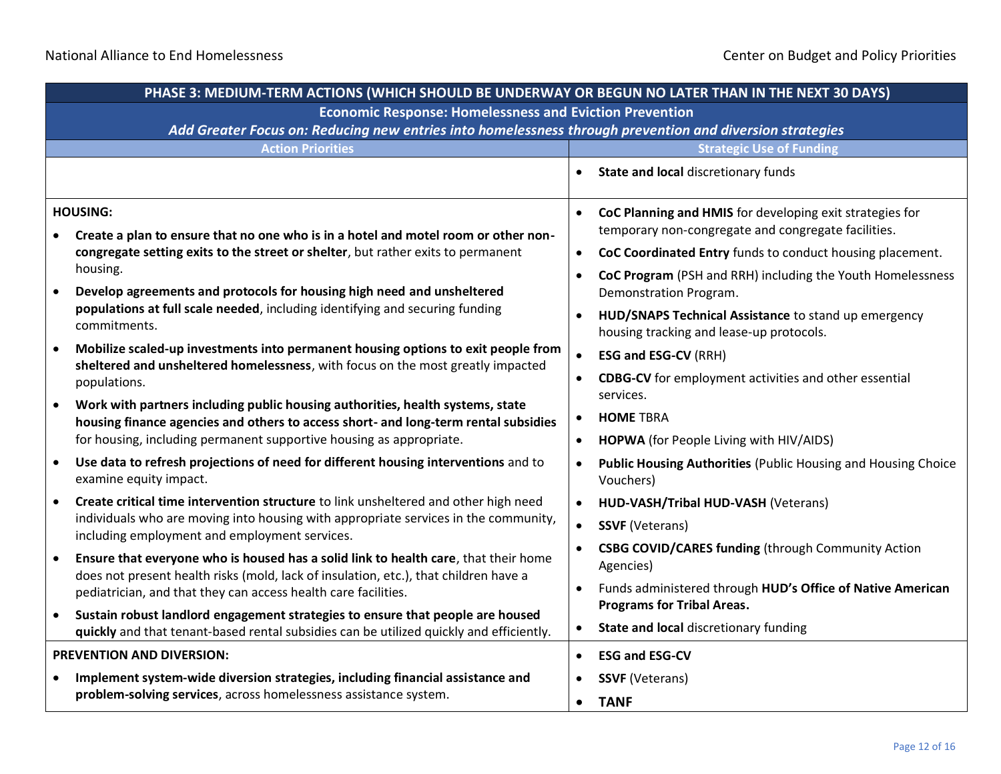| PHASE 3: MEDIUM-TERM ACTIONS (WHICH SHOULD BE UNDERWAY OR BEGUN NO LATER THAN IN THE NEXT 30 DAYS)                                                                                                                                           |                                                                                                                               |  |
|----------------------------------------------------------------------------------------------------------------------------------------------------------------------------------------------------------------------------------------------|-------------------------------------------------------------------------------------------------------------------------------|--|
| <b>Economic Response: Homelessness and Eviction Prevention</b>                                                                                                                                                                               |                                                                                                                               |  |
|                                                                                                                                                                                                                                              | Add Greater Focus on: Reducing new entries into homelessness through prevention and diversion strategies                      |  |
| <b>Action Priorities</b>                                                                                                                                                                                                                     | <b>Strategic Use of Funding</b>                                                                                               |  |
|                                                                                                                                                                                                                                              | State and local discretionary funds<br>$\bullet$                                                                              |  |
| <b>HOUSING:</b>                                                                                                                                                                                                                              | CoC Planning and HMIS for developing exit strategies for<br>$\bullet$                                                         |  |
| Create a plan to ensure that no one who is in a hotel and motel room or other non-<br>congregate setting exits to the street or shelter, but rather exits to permanent                                                                       | temporary non-congregate and congregate facilities.<br>CoC Coordinated Entry funds to conduct housing placement.<br>$\bullet$ |  |
| housing.                                                                                                                                                                                                                                     | CoC Program (PSH and RRH) including the Youth Homelessness                                                                    |  |
| Develop agreements and protocols for housing high need and unsheltered                                                                                                                                                                       | Demonstration Program.                                                                                                        |  |
| populations at full scale needed, including identifying and securing funding<br>commitments.                                                                                                                                                 | HUD/SNAPS Technical Assistance to stand up emergency<br>$\bullet$<br>housing tracking and lease-up protocols.                 |  |
| Mobilize scaled-up investments into permanent housing options to exit people from<br>$\bullet$<br>sheltered and unsheltered homelessness, with focus on the most greatly impacted                                                            | <b>ESG and ESG-CV (RRH)</b><br>$\bullet$                                                                                      |  |
| populations.                                                                                                                                                                                                                                 | <b>CDBG-CV</b> for employment activities and other essential<br>services.                                                     |  |
| Work with partners including public housing authorities, health systems, state<br>housing finance agencies and others to access short- and long-term rental subsidies<br>for housing, including permanent supportive housing as appropriate. | <b>HOME TBRA</b><br>$\bullet$                                                                                                 |  |
|                                                                                                                                                                                                                                              | HOPWA (for People Living with HIV/AIDS)<br>$\bullet$                                                                          |  |
| Use data to refresh projections of need for different housing interventions and to<br>$\bullet$<br>examine equity impact.                                                                                                                    | Public Housing Authorities (Public Housing and Housing Choice<br>$\bullet$<br>Vouchers)                                       |  |
| Create critical time intervention structure to link unsheltered and other high need                                                                                                                                                          | HUD-VASH/Tribal HUD-VASH (Veterans)<br>$\bullet$                                                                              |  |
| individuals who are moving into housing with appropriate services in the community,<br>including employment and employment services.                                                                                                         | $\bullet$<br><b>SSVF</b> (Veterans)                                                                                           |  |
| Ensure that everyone who is housed has a solid link to health care, that their home<br>$\bullet$<br>does not present health risks (mold, lack of insulation, etc.), that children have a                                                     | <b>CSBG COVID/CARES funding (through Community Action</b><br>$\bullet$<br>Agencies)                                           |  |
| pediatrician, and that they can access health care facilities.                                                                                                                                                                               | Funds administered through HUD's Office of Native American<br>$\bullet$<br><b>Programs for Tribal Areas.</b>                  |  |
| Sustain robust landlord engagement strategies to ensure that people are housed<br>$\bullet$<br>quickly and that tenant-based rental subsidies can be utilized quickly and efficiently.                                                       | State and local discretionary funding<br>$\bullet$                                                                            |  |
| <b>PREVENTION AND DIVERSION:</b>                                                                                                                                                                                                             | <b>ESG and ESG-CV</b><br>$\bullet$                                                                                            |  |
| Implement system-wide diversion strategies, including financial assistance and                                                                                                                                                               | <b>SSVF</b> (Veterans)                                                                                                        |  |
| problem-solving services, across homelessness assistance system.                                                                                                                                                                             | <b>TANF</b><br>$\bullet$                                                                                                      |  |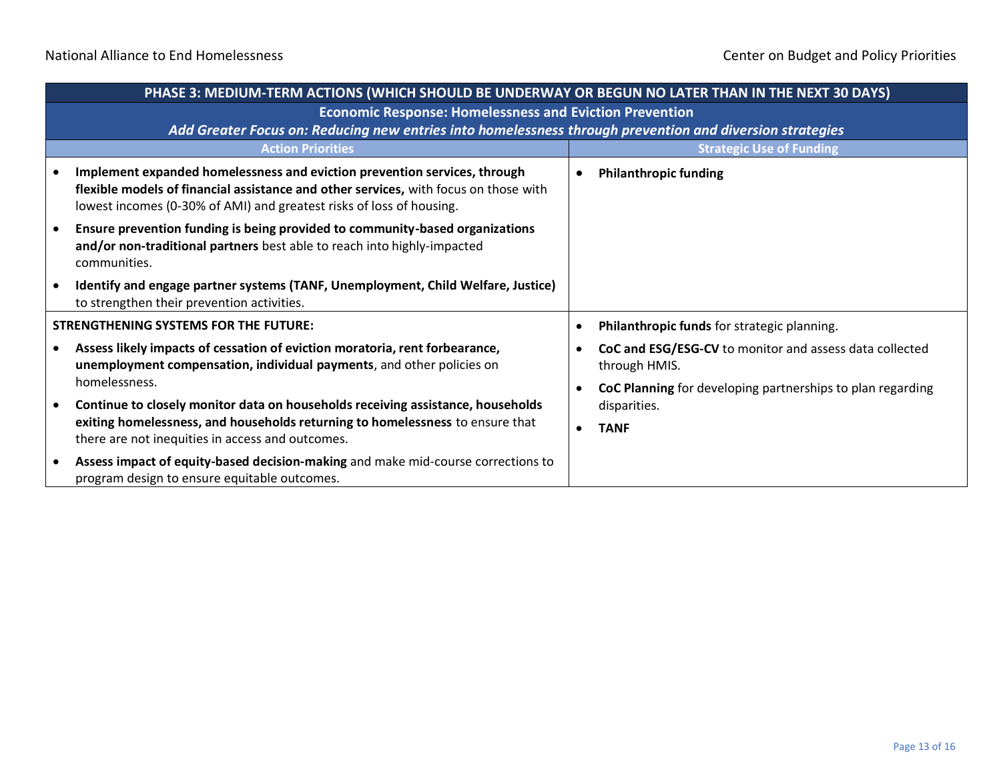|                                              | PHASE 3: MEDIUM-TERM ACTIONS (WHICH SHOULD BE UNDERWAY OR BEGUN NO LATER THAN IN THE NEXT 30 DAYS)                                                                                                                                        |           |                                                                          |
|----------------------------------------------|-------------------------------------------------------------------------------------------------------------------------------------------------------------------------------------------------------------------------------------------|-----------|--------------------------------------------------------------------------|
|                                              | <b>Economic Response: Homelessness and Eviction Prevention</b>                                                                                                                                                                            |           |                                                                          |
|                                              | Add Greater Focus on: Reducing new entries into homelessness through prevention and diversion strategies                                                                                                                                  |           |                                                                          |
|                                              | <b>Action Priorities</b>                                                                                                                                                                                                                  |           | <b>Strategic Use of Funding</b>                                          |
|                                              | Implement expanded homelessness and eviction prevention services, through<br>flexible models of financial assistance and other services, with focus on those with<br>lowest incomes (0-30% of AMI) and greatest risks of loss of housing. | $\bullet$ | <b>Philanthropic funding</b>                                             |
|                                              | Ensure prevention funding is being provided to community-based organizations<br>and/or non-traditional partners best able to reach into highly-impacted<br>communities.                                                                   |           |                                                                          |
|                                              | Identify and engage partner systems (TANF, Unemployment, Child Welfare, Justice)<br>to strengthen their prevention activities.                                                                                                            |           |                                                                          |
| <b>STRENGTHENING SYSTEMS FOR THE FUTURE:</b> |                                                                                                                                                                                                                                           | $\bullet$ | Philanthropic funds for strategic planning.                              |
|                                              | Assess likely impacts of cessation of eviction moratoria, rent forbearance,<br>unemployment compensation, individual payments, and other policies on                                                                                      |           | CoC and ESG/ESG-CV to monitor and assess data collected<br>through HMIS. |
|                                              | homelessness.                                                                                                                                                                                                                             |           | CoC Planning for developing partnerships to plan regarding               |
|                                              | Continue to closely monitor data on households receiving assistance, households<br>exiting homelessness, and households returning to homelessness to ensure that<br>there are not inequities in access and outcomes.                      |           | disparities.                                                             |
|                                              |                                                                                                                                                                                                                                           | $\bullet$ | <b>TANF</b>                                                              |
|                                              | Assess impact of equity-based decision-making and make mid-course corrections to<br>program design to ensure equitable outcomes.                                                                                                          |           |                                                                          |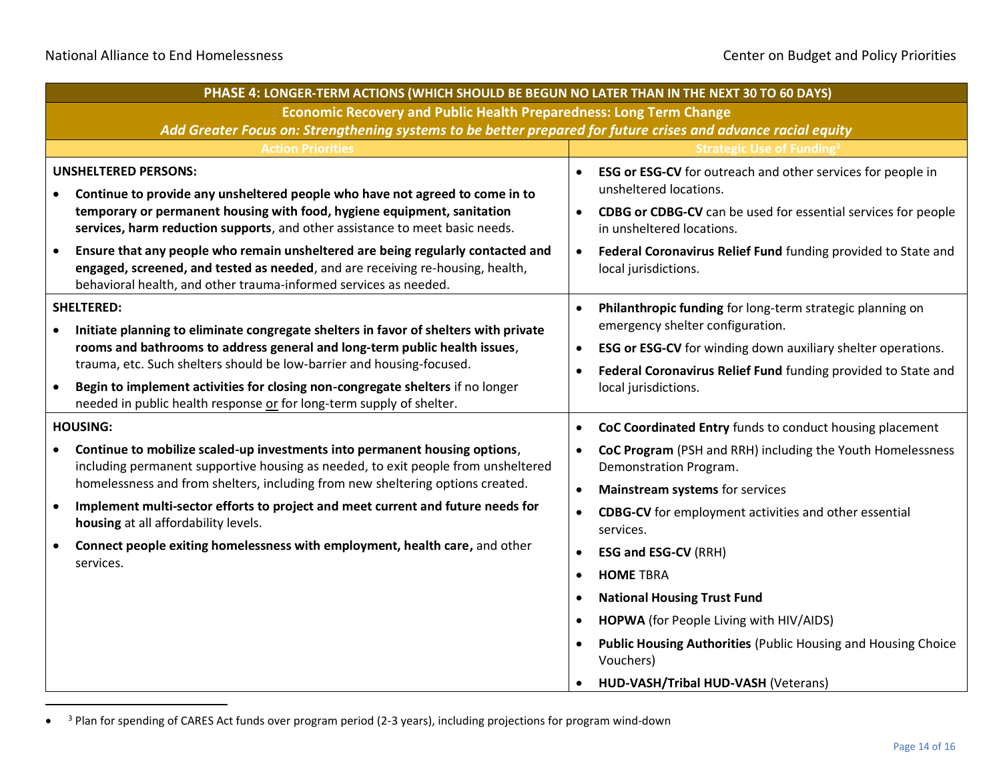| PHASE 4: LONGER-TERM ACTIONS (WHICH SHOULD BE BEGUN NO LATER THAN IN THE NEXT 30 TO 60 DAYS)                                                                                                                                                                     |                                                                                                                                            |  |
|------------------------------------------------------------------------------------------------------------------------------------------------------------------------------------------------------------------------------------------------------------------|--------------------------------------------------------------------------------------------------------------------------------------------|--|
| <b>Economic Recovery and Public Health Preparedness: Long Term Change</b>                                                                                                                                                                                        |                                                                                                                                            |  |
| Add Greater Focus on: Strengthening systems to be better prepared for future crises and advance racial equity                                                                                                                                                    |                                                                                                                                            |  |
| <b>Action Priorities</b>                                                                                                                                                                                                                                         | <b>Strategic Use of Funding<sup>3</sup></b>                                                                                                |  |
| <b>UNSHELTERED PERSONS:</b><br>Continue to provide any unsheltered people who have not agreed to come in to                                                                                                                                                      | ESG or ESG-CV for outreach and other services for people in<br>unsheltered locations.                                                      |  |
| temporary or permanent housing with food, hygiene equipment, sanitation<br>services, harm reduction supports, and other assistance to meet basic needs.                                                                                                          | CDBG or CDBG-CV can be used for essential services for people<br>$\bullet$<br>in unsheltered locations.                                    |  |
| Ensure that any people who remain unsheltered are being regularly contacted and<br>$\bullet$<br>engaged, screened, and tested as needed, and are receiving re-housing, health,<br>behavioral health, and other trauma-informed services as needed.               | Federal Coronavirus Relief Fund funding provided to State and<br>$\bullet$<br>local jurisdictions.                                         |  |
| <b>SHELTERED:</b><br>Initiate planning to eliminate congregate shelters in favor of shelters with private<br>rooms and bathrooms to address general and long-term public health issues,<br>trauma, etc. Such shelters should be low-barrier and housing-focused. | Philanthropic funding for long-term strategic planning on<br>$\bullet$<br>emergency shelter configuration.                                 |  |
|                                                                                                                                                                                                                                                                  | ESG or ESG-CV for winding down auxiliary shelter operations.<br>$\bullet$<br>Federal Coronavirus Relief Fund funding provided to State and |  |
| Begin to implement activities for closing non-congregate shelters if no longer<br>$\bullet$<br>needed in public health response or for long-term supply of shelter.                                                                                              | local jurisdictions.                                                                                                                       |  |
| <b>HOUSING:</b>                                                                                                                                                                                                                                                  | CoC Coordinated Entry funds to conduct housing placement<br>$\bullet$                                                                      |  |
| Continue to mobilize scaled-up investments into permanent housing options,<br>including permanent supportive housing as needed, to exit people from unsheltered                                                                                                  | CoC Program (PSH and RRH) including the Youth Homelessness<br>$\bullet$<br>Demonstration Program.                                          |  |
| homelessness and from shelters, including from new sheltering options created.                                                                                                                                                                                   | Mainstream systems for services<br>$\bullet$                                                                                               |  |
| Implement multi-sector efforts to project and meet current and future needs for<br>housing at all affordability levels.                                                                                                                                          | <b>CDBG-CV</b> for employment activities and other essential<br>$\bullet$<br>services.                                                     |  |
| Connect people exiting homelessness with employment, health care, and other                                                                                                                                                                                      | <b>ESG and ESG-CV (RRH)</b><br>$\bullet$                                                                                                   |  |
| services.                                                                                                                                                                                                                                                        | <b>HOME TBRA</b><br>$\bullet$                                                                                                              |  |
|                                                                                                                                                                                                                                                                  | <b>National Housing Trust Fund</b><br>$\bullet$                                                                                            |  |
|                                                                                                                                                                                                                                                                  | HOPWA (for People Living with HIV/AIDS)<br>$\bullet$                                                                                       |  |
|                                                                                                                                                                                                                                                                  | <b>Public Housing Authorities (Public Housing and Housing Choice</b><br>Vouchers)                                                          |  |
|                                                                                                                                                                                                                                                                  | HUD-VASH/Tribal HUD-VASH (Veterans)                                                                                                        |  |

<sup>•</sup> <sup>3</sup> Plan for spending of CARES Act funds over program period (2-3 years), including projections for program wind-down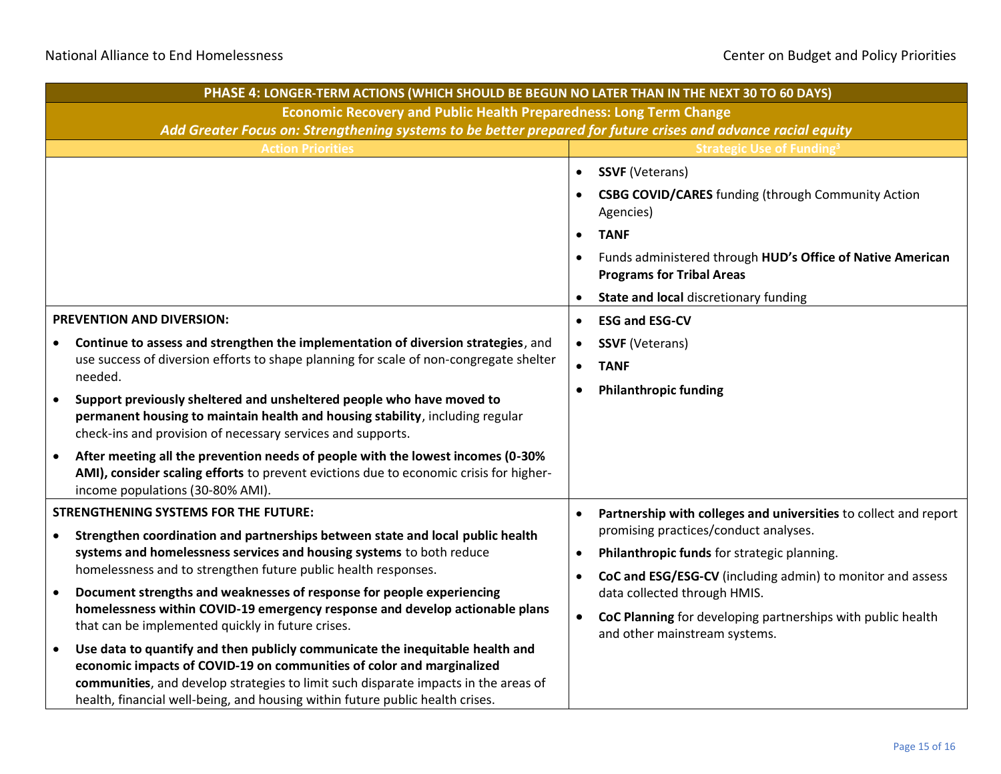|                           | PHASE 4: LONGER-TERM ACTIONS (WHICH SHOULD BE BEGUN NO LATER THAN IN THE NEXT 30 TO 60 DAYS)                                                                                                                                                                                                                                   |           |                                                                                                |  |
|---------------------------|--------------------------------------------------------------------------------------------------------------------------------------------------------------------------------------------------------------------------------------------------------------------------------------------------------------------------------|-----------|------------------------------------------------------------------------------------------------|--|
|                           | <b>Economic Recovery and Public Health Preparedness: Long Term Change</b>                                                                                                                                                                                                                                                      |           |                                                                                                |  |
|                           | Add Greater Focus on: Strengthening systems to be better prepared for future crises and advance racial equity                                                                                                                                                                                                                  |           |                                                                                                |  |
|                           | <b>Action Priorities</b>                                                                                                                                                                                                                                                                                                       |           | <b>Strategic Use of Funding<sup>3</sup></b>                                                    |  |
|                           |                                                                                                                                                                                                                                                                                                                                | $\bullet$ | <b>SSVF (Veterans)</b>                                                                         |  |
|                           |                                                                                                                                                                                                                                                                                                                                | $\bullet$ | <b>CSBG COVID/CARES</b> funding (through Community Action<br>Agencies)                         |  |
|                           |                                                                                                                                                                                                                                                                                                                                | $\bullet$ | <b>TANF</b>                                                                                    |  |
|                           |                                                                                                                                                                                                                                                                                                                                | $\bullet$ | Funds administered through HUD's Office of Native American<br><b>Programs for Tribal Areas</b> |  |
|                           |                                                                                                                                                                                                                                                                                                                                | $\bullet$ | State and local discretionary funding                                                          |  |
| PREVENTION AND DIVERSION: |                                                                                                                                                                                                                                                                                                                                | $\bullet$ | <b>ESG and ESG-CV</b>                                                                          |  |
|                           | Continue to assess and strengthen the implementation of diversion strategies, and<br>use success of diversion efforts to shape planning for scale of non-congregate shelter<br>needed.                                                                                                                                         | $\bullet$ | <b>SSVF</b> (Veterans)                                                                         |  |
|                           |                                                                                                                                                                                                                                                                                                                                | $\bullet$ | <b>TANF</b>                                                                                    |  |
|                           |                                                                                                                                                                                                                                                                                                                                | $\bullet$ | <b>Philanthropic funding</b>                                                                   |  |
|                           | Support previously sheltered and unsheltered people who have moved to<br>permanent housing to maintain health and housing stability, including regular<br>check-ins and provision of necessary services and supports.                                                                                                          |           |                                                                                                |  |
| $\bullet$                 | After meeting all the prevention needs of people with the lowest incomes (0-30%<br>AMI), consider scaling efforts to prevent evictions due to economic crisis for higher-<br>income populations (30-80% AMI).                                                                                                                  |           |                                                                                                |  |
|                           | <b>STRENGTHENING SYSTEMS FOR THE FUTURE:</b>                                                                                                                                                                                                                                                                                   | $\bullet$ | Partnership with colleges and universities to collect and report                               |  |
| $\bullet$                 | Strengthen coordination and partnerships between state and local public health<br>systems and homelessness services and housing systems to both reduce                                                                                                                                                                         |           | promising practices/conduct analyses.                                                          |  |
|                           |                                                                                                                                                                                                                                                                                                                                | $\bullet$ | Philanthropic funds for strategic planning.                                                    |  |
|                           | homelessness and to strengthen future public health responses.                                                                                                                                                                                                                                                                 | $\bullet$ | CoC and ESG/ESG-CV (including admin) to monitor and assess                                     |  |
| $\bullet$                 | Document strengths and weaknesses of response for people experiencing<br>homelessness within COVID-19 emergency response and develop actionable plans                                                                                                                                                                          |           | data collected through HMIS.                                                                   |  |
|                           | that can be implemented quickly in future crises.                                                                                                                                                                                                                                                                              | $\bullet$ | CoC Planning for developing partnerships with public health<br>and other mainstream systems.   |  |
|                           | Use data to quantify and then publicly communicate the inequitable health and<br>economic impacts of COVID-19 on communities of color and marginalized<br>communities, and develop strategies to limit such disparate impacts in the areas of<br>health, financial well-being, and housing within future public health crises. |           |                                                                                                |  |